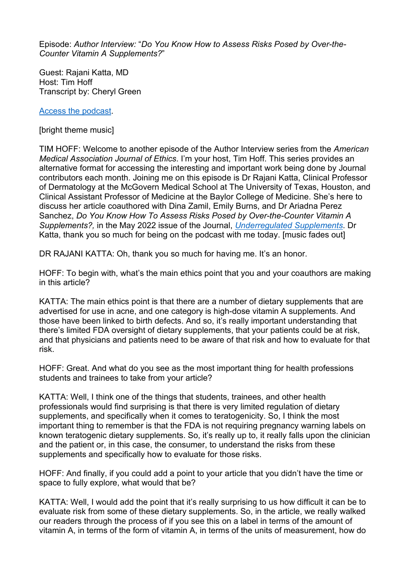Episode: *Author Interview:* "*Do You Know How to Assess Risks Posed by Over-the-Counter Vitamin A Supplements?*"

Guest: Rajani Katta, MD Host: Tim Hoff Transcript by: Cheryl Green

[Access the podcast.](https://journalofethics.ama-assn.org/podcast/author-interview-do-you-know-how-assess-risks-posed-over-counter-vitamin-supplements)

[bright theme music]

TIM HOFF: Welcome to another episode of the Author Interview series from the *American Medical Association Journal of Ethics*. I'm your host, Tim Hoff. This series provides an alternative format for accessing the interesting and important work being done by Journal contributors each month. Joining me on this episode is Dr Rajani Katta, Clinical Professor of Dermatology at the McGovern Medical School at The University of Texas, Houston, and Clinical Assistant Professor of Medicine at the Baylor College of Medicine. She's here to discuss her article coauthored with Dina Zamil, Emily Burns, and Dr Ariadna Perez Sanchez, *Do You Know How To Assess Risks Posed by Over-the-Counter Vitamin A Supplements?,* in the May 2022 issue of the Journal, *[Underregulated Supplements](https://journalofethics.ama-assn.org/issue/unregulated-supplements)*. Dr Katta, thank you so much for being on the podcast with me today. [music fades out]

DR RAJANI KATTA: Oh, thank you so much for having me. It's an honor.

HOFF: To begin with, what's the main ethics point that you and your coauthors are making in this article?

KATTA: The main ethics point is that there are a number of dietary supplements that are advertised for use in acne, and one category is high-dose vitamin A supplements. And those have been linked to birth defects. And so, it's really important understanding that there's limited FDA oversight of dietary supplements, that your patients could be at risk, and that physicians and patients need to be aware of that risk and how to evaluate for that risk.

HOFF: Great. And what do you see as the most important thing for health professions students and trainees to take from your article?

KATTA: Well, I think one of the things that students, trainees, and other health professionals would find surprising is that there is very limited regulation of dietary supplements, and specifically when it comes to teratogenicity. So, I think the most important thing to remember is that the FDA is not requiring pregnancy warning labels on known teratogenic dietary supplements. So, it's really up to, it really falls upon the clinician and the patient or, in this case, the consumer, to understand the risks from these supplements and specifically how to evaluate for those risks.

HOFF: And finally, if you could add a point to your article that you didn't have the time or space to fully explore, what would that be?

KATTA: Well, I would add the point that it's really surprising to us how difficult it can be to evaluate risk from some of these dietary supplements. So, in the article, we really walked our readers through the process of if you see this on a label in terms of the amount of vitamin A, in terms of the form of vitamin A, in terms of the units of measurement, how do